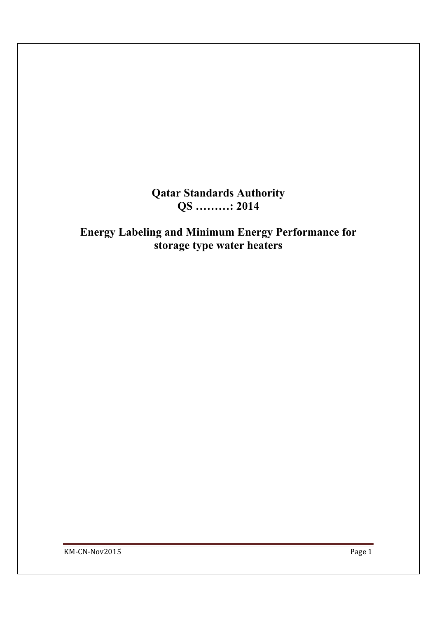**Qatar Standards Authority QS ………: 2014** 

**Energy Labeling and Minimum Energy Performance for storage type water heaters**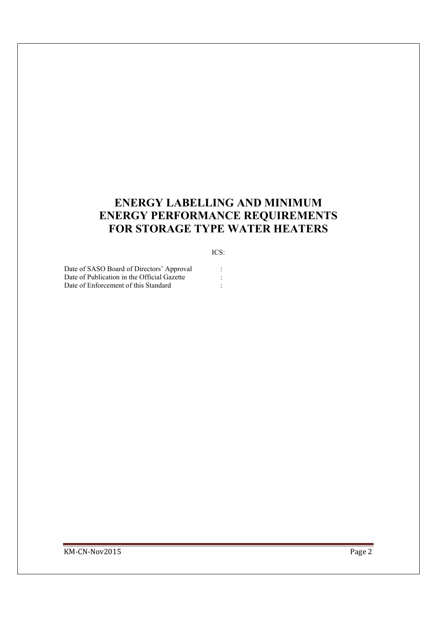# **ENERGY LABELLING AND MINIMUM ENERGY PERFORMANCE REQUIREMENTS FOR STORAGE TYPE WATER HEATERS**

#### ICS:

Date of SASO Board of Directors' Approval :<br>Date of Publication in the Official Gazette : Date of Publication in the Official Gazette Date of Enforcement of this Standard :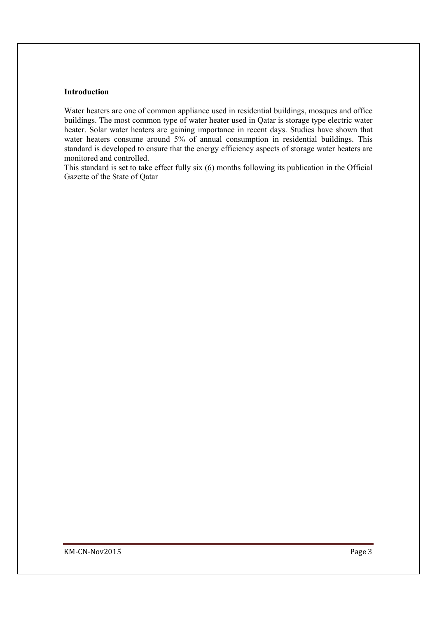#### **Introduction**

Water heaters are one of common appliance used in residential buildings, mosques and office buildings. The most common type of water heater used in Qatar is storage type electric water heater. Solar water heaters are gaining importance in recent days. Studies have shown that water heaters consume around 5% of annual consumption in residential buildings. This standard is developed to ensure that the energy efficiency aspects of storage water heaters are monitored and controlled.

This standard is set to take effect fully six (6) months following its publication in the Official Gazette of the State of Qatar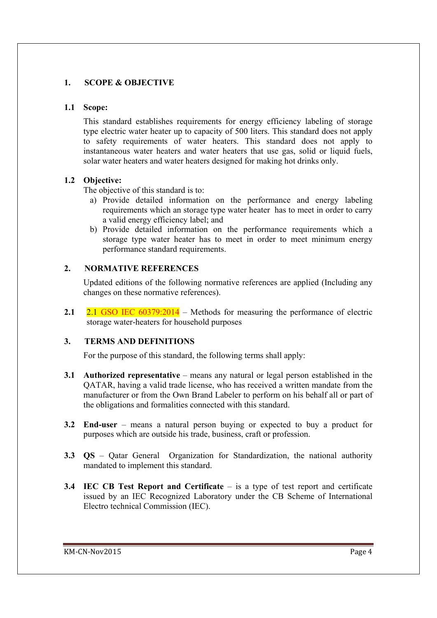## **1. SCOPE & OBJECTIVE**

#### **1.1 Scope:**

This standard establishes requirements for energy efficiency labeling of storage type electric water heater up to capacity of 500 liters. This standard does not apply to safety requirements of water heaters. This standard does not apply to instantaneous water heaters and water heaters that use gas, solid or liquid fuels, solar water heaters and water heaters designed for making hot drinks only.

### **1.2 Objective:**

The objective of this standard is to:

- a) Provide detailed information on the performance and energy labeling requirements which an storage type water heater has to meet in order to carry a valid energy efficiency label; and
- b) Provide detailed information on the performance requirements which a storage type water heater has to meet in order to meet minimum energy performance standard requirements.

### **2. NORMATIVE REFERENCES**

Updated editions of the following normative references are applied (Including any changes on these normative references).

**2.1** 2.1 GSO IEC 60379:2014 – Methods for measuring the performance of electric storage water-heaters for household purposes

### **3. TERMS AND DEFINITIONS**

For the purpose of this standard, the following terms shall apply:

- **3.1 Authorized representative** means any natural or legal person established in the QATAR, having a valid trade license, who has received a written mandate from the manufacturer or from the Own Brand Labeler to perform on his behalf all or part of the obligations and formalities connected with this standard.
- **3.2 End-user**  means a natural person buying or expected to buy a product for purposes which are outside his trade, business, craft or profession.
- **3.3 QS**  Qatar General Organization for Standardization, the national authority mandated to implement this standard.
- **3.4 IEC CB Test Report and Certificate**  is a type of test report and certificate issued by an IEC Recognized Laboratory under the CB Scheme of International Electro technical Commission (IEC).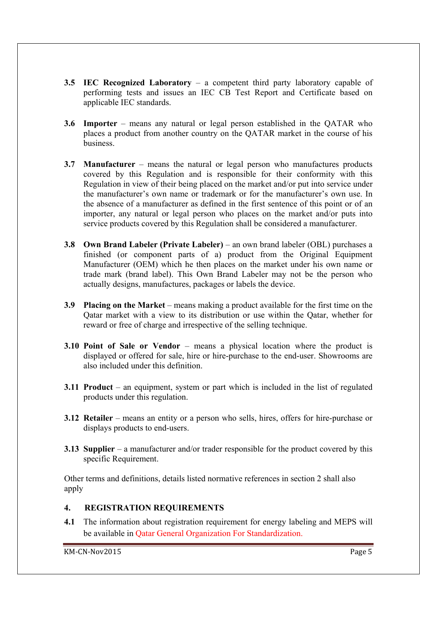- **3.5 IEC Recognized Laboratory** a competent third party laboratory capable of performing tests and issues an IEC CB Test Report and Certificate based on applicable IEC standards.
- **3.6 Importer** means any natural or legal person established in the QATAR who places a product from another country on the QATAR market in the course of his **business**
- **3.7 Manufacturer** means the natural or legal person who manufactures products covered by this Regulation and is responsible for their conformity with this Regulation in view of their being placed on the market and/or put into service under the manufacturer's own name or trademark or for the manufacturer's own use. In the absence of a manufacturer as defined in the first sentence of this point or of an importer, any natural or legal person who places on the market and/or puts into service products covered by this Regulation shall be considered a manufacturer.
- **3.8 Own Brand Labeler (Private Labeler)** an own brand labeler (OBL) purchases a finished (or component parts of a) product from the Original Equipment Manufacturer (OEM) which he then places on the market under his own name or trade mark (brand label). This Own Brand Labeler may not be the person who actually designs, manufactures, packages or labels the device.
- **3.9 Placing on the Market** means making a product available for the first time on the Qatar market with a view to its distribution or use within the Qatar, whether for reward or free of charge and irrespective of the selling technique.
- **3.10 Point of Sale or Vendor** means a physical location where the product is displayed or offered for sale, hire or hire-purchase to the end-user. Showrooms are also included under this definition.
- **3.11 Product** an equipment, system or part which is included in the list of regulated products under this regulation.
- **3.12** Retailer means an entity or a person who sells, hires, offers for hire-purchase or displays products to end-users.
- **3.13** Supplier a manufacturer and/or trader responsible for the product covered by this specific Requirement.

Other terms and definitions, details listed normative references in section 2 shall also apply

### **4. REGISTRATION REQUIREMENTS**

**4.1** The information about registration requirement for energy labeling and MEPS will be available in Qatar General Organization For Standardization.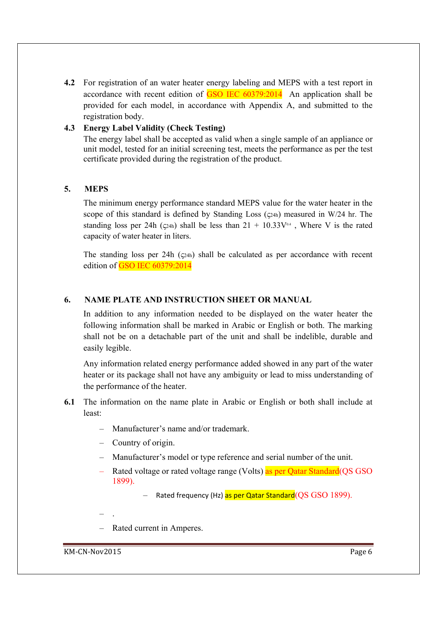**4.2** For registration of an water heater energy labeling and MEPS with a test report in accordance with recent edition of  $GSO$  IEC  $60379:2014$  An application shall be provided for each model, in accordance with Appendix A, and submitted to the registration body.

### **4.3 Energy Label Validity (Check Testing)**

The energy label shall be accepted as valid when a single sample of an appliance or unit model, tested for an initial screening test, meets the performance as per the test certificate provided during the registration of the product.

#### **5. MEPS**

The minimum energy performance standard MEPS value for the water heater in the scope of this standard is defined by Standing Loss  $(c_{24h})$  measured in W/24 hr. The standing loss per 24h ( $\zeta$ 24h) shall be less than 21 + 10.33 $V^{0.4}$ , Where V is the rated capacity of water heater in liters.

The standing loss per 24h (ς24h) shall be calculated as per accordance with recent edition of GSO IEC 60379:2014

#### **6. NAME PLATE AND INSTRUCTION SHEET OR MANUAL**

In addition to any information needed to be displayed on the water heater the following information shall be marked in Arabic or English or both. The marking shall not be on a detachable part of the unit and shall be indelible, durable and easily legible.

Any information related energy performance added showed in any part of the water heater or its package shall not have any ambiguity or lead to miss understanding of the performance of the heater.

- **6.1** The information on the name plate in Arabic or English or both shall include at least:
	- Manufacturer's name and/or trademark.
	- Country of origin.
	- Manufacturer's model or type reference and serial number of the unit.
	- Rated voltage or rated voltage range (Volts) as per Oatar Standard (OS GSO 1899).

– Rated frequency (Hz) as per Qatar Standard (QS GSO 1899).

- .
- Rated current in Amperes.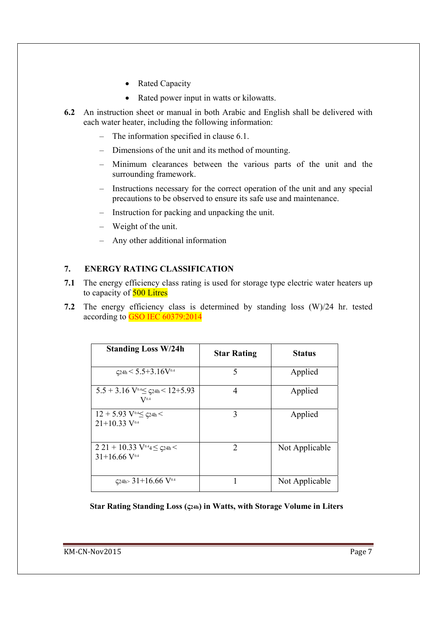- Rated Capacity
- Rated power input in watts or kilowatts.
- **6.2** An instruction sheet or manual in both Arabic and English shall be delivered with each water heater, including the following information:
	- The information specified in clause 6.1.
	- Dimensions of the unit and its method of mounting.
	- Minimum clearances between the various parts of the unit and the surrounding framework.
	- Instructions necessary for the correct operation of the unit and any special precautions to be observed to ensure its safe use and maintenance.
	- Instruction for packing and unpacking the unit.
	- Weight of the unit.
	- Any other additional information

### **7. ENERGY RATING CLASSIFICATION**

- **7.1** The energy efficiency class rating is used for storage type electric water heaters up to capacity of **500 Litres**
- **7.2** The energy efficiency class is determined by standing loss (W)/24 hr. tested according to GSO IEC 60379:2014

| <b>Standing Loss W/24h</b>                                                                  | <b>Star Rating</b> | <b>Status</b>  |
|---------------------------------------------------------------------------------------------|--------------------|----------------|
| $\zeta$ 24h $\leq 5.5 + 3.16$ V <sup>0.4</sup>                                              | 5                  | Applied        |
| $5.5 + 3.16$ V <sup>0.4</sup> $\leq$ $\varsigma$ 24h $\leq$ 12+5.93<br>$V^{0.4}$            | 4                  | Applied        |
| $12 + 5.93$ V <sup>0.4</sup> $\leq$ c <sub>24h</sub> $<$<br>$21+1033$ V <sup>0.4</sup>      | 3                  | Applied        |
| $221 + 10.33$ V <sup>0.4</sup> 4 $\leq$ c <sub>24h</sub> $<$<br>$31+16.66$ V <sup>0.4</sup> | $\mathfrak{D}$     | Not Applicable |
| $\zeta$ 24h> 31+16.66 V <sup>0.4</sup>                                                      |                    | Not Applicable |

**Star Rating Standing Loss (ς24h) in Watts, with Storage Volume in Liters**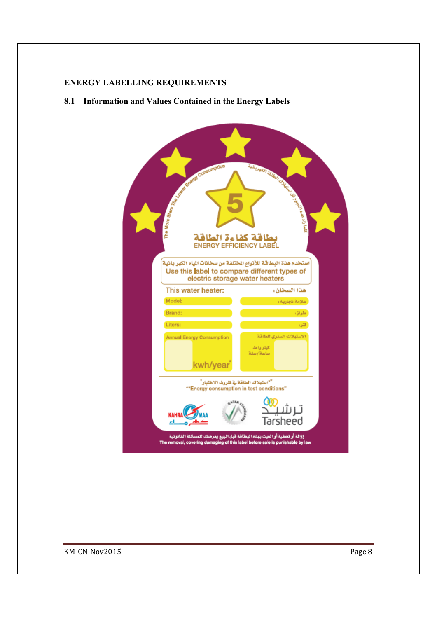#### **ENERGY LABELLING REQUIREMENTS**

**8.1 Information and Values Contained in the Energy Labels**

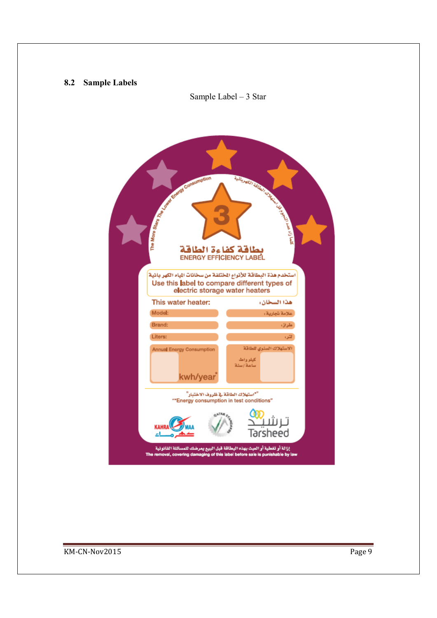#### **8.2 Sample Labels**



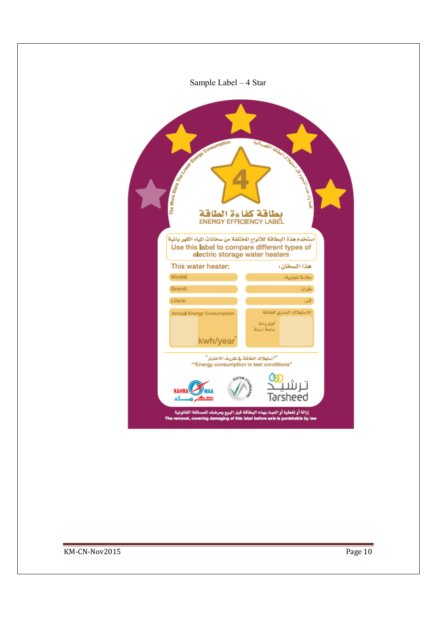| Sample Label – 4 Star                                                                                                                                                                                             |                                                  |
|-------------------------------------------------------------------------------------------------------------------------------------------------------------------------------------------------------------------|--------------------------------------------------|
| The More Start Pays of Containing Containing<br>بطاقة كفاءة الطاقة<br>ENERGY EFFICIENCY LABEL<br>استخدم هذة البطاقة للأنواع المختلفة من سخانات المياء الكهر بائية<br>Use this label to compare different types of |                                                  |
| electric storage water heaters                                                                                                                                                                                    |                                                  |
| This water heater:<br>Model:                                                                                                                                                                                      | هذا السخان،<br>علامة تجارية؛                     |
| Brand:                                                                                                                                                                                                            | طراز،                                            |
| Liters:                                                                                                                                                                                                           | لتنوء                                            |
| <b>Annual Energy Consumption</b><br>kwh/year                                                                                                                                                                      | الاستهلاك السنوى للطاقة<br>كبلو واط<br>سامة /سئة |
| ""استهلاك الطاقة فج ظروف الاختبار"<br>"*Energy consumption in test conditions"                                                                                                                                    | ت ىت<br>Tarsheed                                 |
| إزالة أو تغطية أو العبث بهذه البطاقة قبل البيع يعرضك للمسائلة القانونية<br>The removal, covering damaging of this label before sale is punishable by law                                                          |                                                  |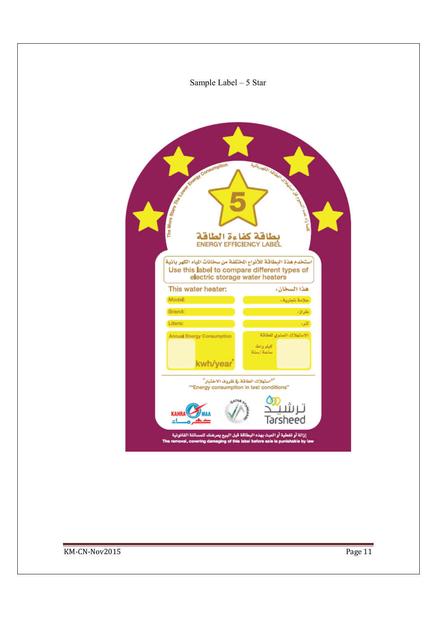# Sample Label – 5 Star

| The Monte State Line of Consumership<br>بطاقة كفاءة الطاقة<br><b>ENERGY EFFICIENCY LABEL</b>                                                             | <b>CONSTRUCTION OF REAL PROPERTY AND INCOME.</b>  |
|----------------------------------------------------------------------------------------------------------------------------------------------------------|---------------------------------------------------|
| استخدم هذة البطاقة للأنواع الختلفة من سخانات المياء الكهر بانية<br>Use this label to compare different types of<br>electric storage water heaters        |                                                   |
| This water heater:                                                                                                                                       | هذا السخان،                                       |
| Model:                                                                                                                                                   | أعلامة تجارية؛                                    |
| Brand:                                                                                                                                                   | طراق                                              |
| Liters:                                                                                                                                                  | لتر،                                              |
| <b>Annual Energy Consumption</b><br>kwh/year                                                                                                             | الاستهلاك السنوى للطاقة<br>كيلو وأطأ<br>ساهة /سنة |
| ""استهلاك الطاقة فج ظروف الاختبار"<br>"*Energy consumption in test conditions"                                                                           |                                                   |
| <b>KAHRA</b><br><u>اء</u>                                                                                                                                | ترىتا<br>Tarsheed                                 |
| إزالة أو تفطية أو العبث بهذه البطاقة قبل البيع يعرضك للمسائلة القانونية<br>The removal, covering damaging of this label before sale is punishable by law |                                                   |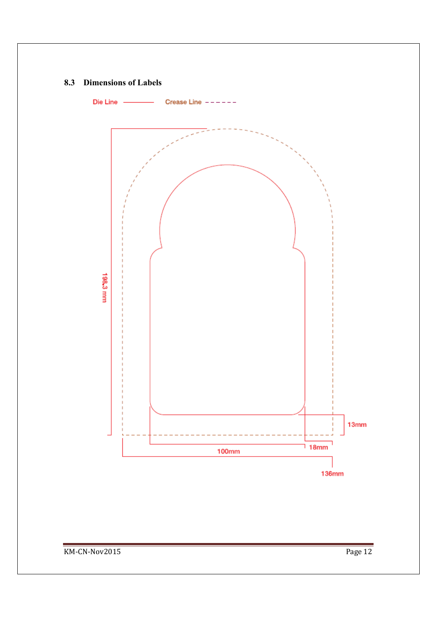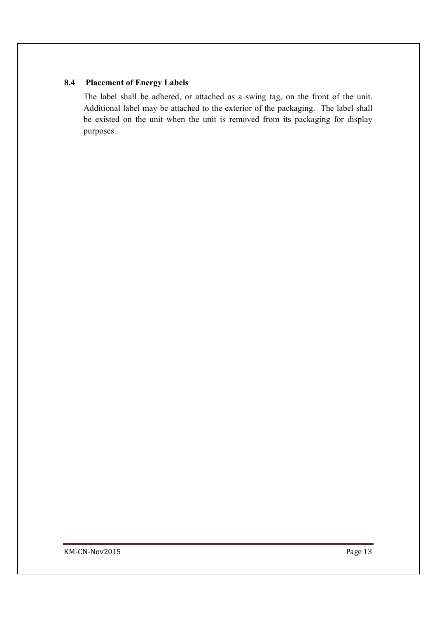## **8.4 Placement of Energy Labels**

The label shall be adhered, or attached as a swing tag, on the front of the unit. Additional label may be attached to the exterior of the packaging. The label shall be existed on the unit when the unit is removed from its packaging for display purposes.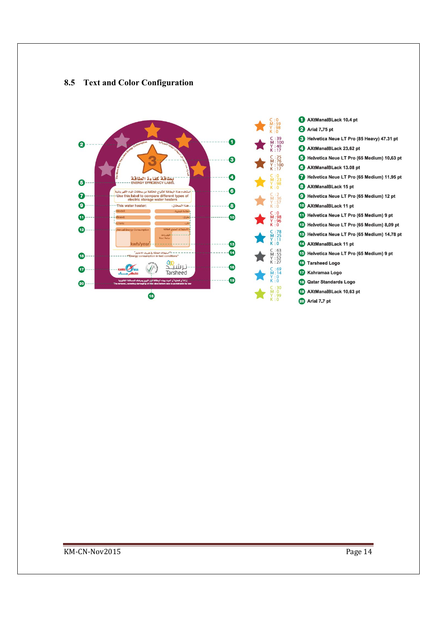

#### **8.5 Text and Color Configuration**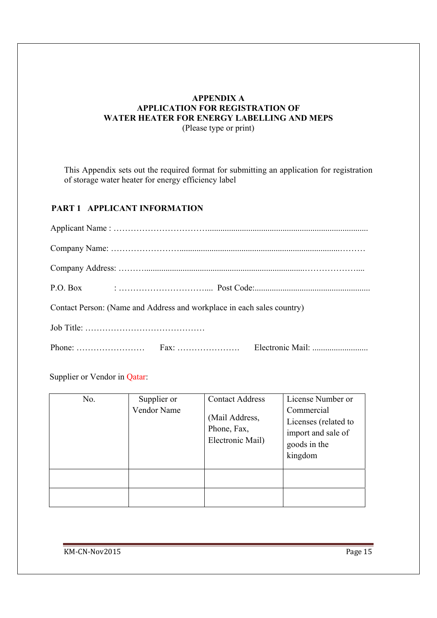#### **APPENDIX A APPLICATION FOR REGISTRATION OF WATER HEATER FOR ENERGY LABELLING AND MEPS**  (Please type or print)

This Appendix sets out the required format for submitting an application for registration of storage water heater for energy efficiency label

# **PART 1 APPLICANT INFORMATION**

| Contact Person: (Name and Address and workplace in each sales country) |  |  |  |
|------------------------------------------------------------------------|--|--|--|
|                                                                        |  |  |  |
| Phone: $\ldots$ $\ldots$ $\ldots$ $\ldots$ $\ldots$ $\ldots$ $\ldots$  |  |  |  |

Supplier or Vendor in Qatar:

| No. | Supplier or | <b>Contact Address</b>                            | License Number or                                                                   |
|-----|-------------|---------------------------------------------------|-------------------------------------------------------------------------------------|
|     | Vendor Name | (Mail Address,<br>Phone, Fax,<br>Electronic Mail) | Commercial<br>Licenses (related to<br>import and sale of<br>goods in the<br>kingdom |
|     |             |                                                   |                                                                                     |
|     |             |                                                   |                                                                                     |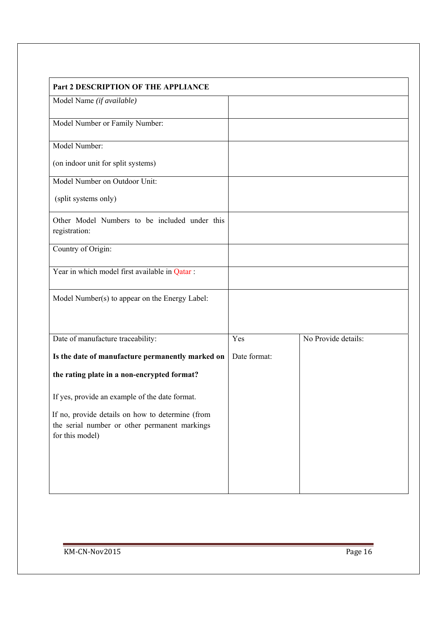| Part 2 DESCRIPTION OF THE APPLIANCE              |              |                     |
|--------------------------------------------------|--------------|---------------------|
| Model Name (if available)                        |              |                     |
| Model Number or Family Number:                   |              |                     |
|                                                  |              |                     |
| Model Number:                                    |              |                     |
| (on indoor unit for split systems)               |              |                     |
| Model Number on Outdoor Unit:                    |              |                     |
|                                                  |              |                     |
| (split systems only)                             |              |                     |
| Other Model Numbers to be included under this    |              |                     |
| registration:                                    |              |                     |
| Country of Origin:                               |              |                     |
|                                                  |              |                     |
| Year in which model first available in Qatar :   |              |                     |
|                                                  |              |                     |
| Model Number(s) to appear on the Energy Label:   |              |                     |
|                                                  |              |                     |
| Date of manufacture traceability:                | Yes          | No Provide details: |
|                                                  |              |                     |
| Is the date of manufacture permanently marked on | Date format: |                     |
| the rating plate in a non-encrypted format?      |              |                     |
|                                                  |              |                     |
| If yes, provide an example of the date format.   |              |                     |
| If no, provide details on how to determine (from |              |                     |
| the serial number or other permanent markings    |              |                     |
| for this model)                                  |              |                     |
|                                                  |              |                     |
|                                                  |              |                     |
|                                                  |              |                     |
|                                                  |              |                     |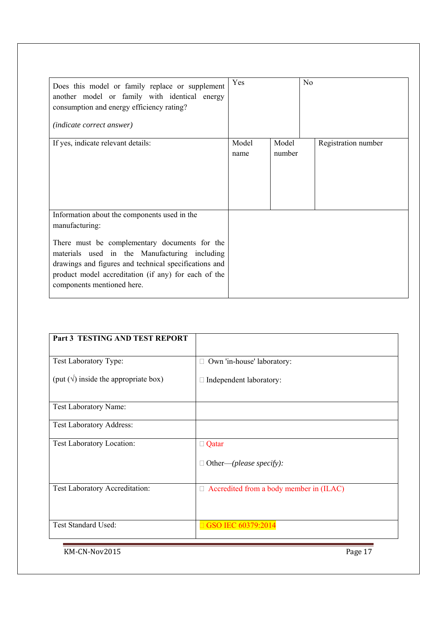| Does this model or family replace or supplement<br>another model or family with identical energy<br>consumption and energy efficiency rating?<br><i>(indicate correct answer)</i>                                                                                                                               | Yes           | N <sub>o</sub>  |                     |
|-----------------------------------------------------------------------------------------------------------------------------------------------------------------------------------------------------------------------------------------------------------------------------------------------------------------|---------------|-----------------|---------------------|
| If yes, indicate relevant details:                                                                                                                                                                                                                                                                              | Model<br>name | Model<br>number | Registration number |
| Information about the components used in the<br>manufacturing:<br>There must be complementary documents for the<br>materials used in the Manufacturing including<br>drawings and figures and technical specifications and<br>product model accreditation (if any) for each of the<br>components mentioned here. |               |                 |                     |

| Part 3 TESTING AND TEST REPORT                 |                                                |
|------------------------------------------------|------------------------------------------------|
|                                                |                                                |
| Test Laboratory Type:                          | Own 'in-house' laboratory:<br>Ш                |
| (put $(\sqrt{})$ ) inside the appropriate box) | Independent laboratory:                        |
|                                                |                                                |
| Test Laboratory Name:                          |                                                |
| <b>Test Laboratory Address:</b>                |                                                |
| Test Laboratory Location:                      | $\Box$ Qatar                                   |
|                                                | Other—(please specify):<br>$\Box$              |
| Test Laboratory Accreditation:                 | $\Box$ Accredited from a body member in (ILAC) |
| Test Standard Used:                            | □ GSO IEC 60379:2014                           |